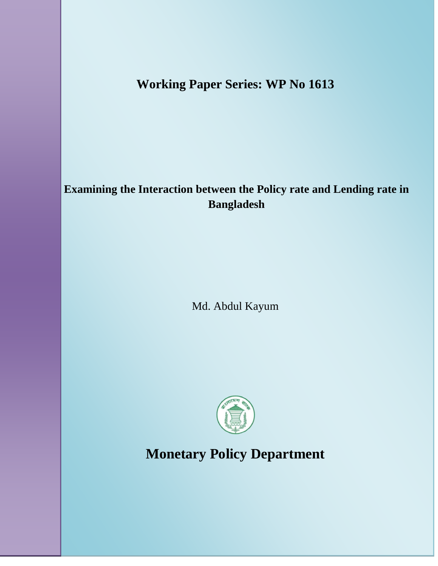# **Working Paper Series: WP No 1613**

# **Examining the Interaction between the Policy rate and Lending rate in Bangladesh**

Md. Abdul Kayum



**Monetary Policy Department**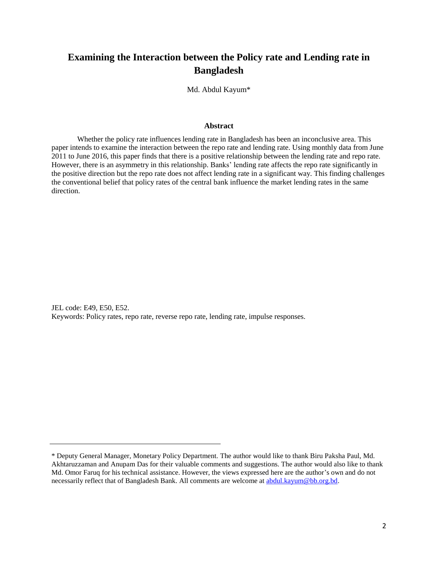# **Examining the Interaction between the Policy rate and Lending rate in Bangladesh**

Md. Abdul Kayum\*

#### **Abstract**

Whether the policy rate influences lending rate in Bangladesh has been an inconclusive area. This paper intends to examine the interaction between the repo rate and lending rate. Using monthly data from June 2011 to June 2016, this paper finds that there is a positive relationship between the lending rate and repo rate. However, there is an asymmetry in this relationship. Banks' lending rate affects the repo rate significantly in the positive direction but the repo rate does not affect lending rate in a significant way. This finding challenges the conventional belief that policy rates of the central bank influence the market lending rates in the same direction.

JEL code: E49, E50, E52. Keywords: Policy rates, repo rate, reverse repo rate, lending rate, impulse responses.

<sup>\*</sup> Deputy General Manager, Monetary Policy Department. The author would like to thank Biru Paksha Paul, Md. Akhtaruzzaman and Anupam Das for their valuable comments and suggestions. The author would also like to thank Md. Omor Faruq for his technical assistance. However, the views expressed here are the author's own and do not necessarily reflect that of Bangladesh Bank. All comments are welcome at [abdul.kayum@bb.org.bd.](mailto:abdul.kayum@bb.org.bd)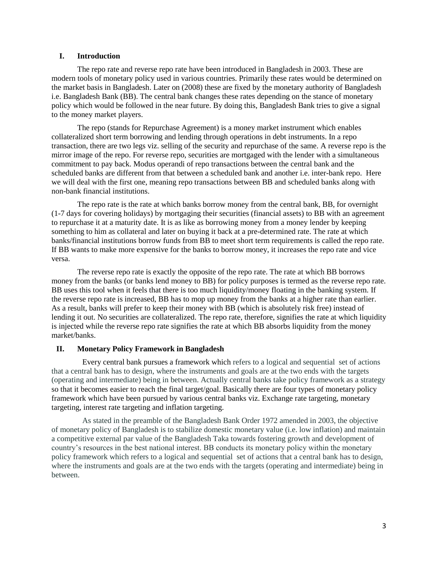### **I. Introduction**

The repo rate and reverse repo rate have been introduced in Bangladesh in 2003. These are modern tools of monetary policy used in various countries. Primarily these rates would be determined on the market basis in Bangladesh. Later on (2008) these are fixed by the monetary authority of Bangladesh i.e. Bangladesh Bank (BB). The central bank changes these rates depending on the stance of monetary policy which would be followed in the near future. By doing this, Bangladesh Bank tries to give a signal to the money market players.

The repo (stands for Repurchase Agreement) is a money market instrument which enables collateralized short term borrowing and lending through operations in debt instruments. In a repo transaction, there are two legs viz. selling of the security and repurchase of the same. A reverse repo is the mirror image of the repo. For reverse repo, securities are mortgaged with the lender with a simultaneous commitment to pay back. Modus operandi of repo transactions between the central bank and the scheduled banks are different from that between a scheduled bank and another i.e. inter-bank repo. Here we will deal with the first one, meaning repo transactions between BB and scheduled banks along with non-bank financial institutions.

The repo rate is the rate at which banks borrow money from the central bank, BB, for overnight (1-7 days for covering holidays) by mortgaging their securities (financial assets) to BB with an agreement to repurchase it at a maturity date. It is as like as borrowing money from a money lender by keeping something to him as collateral and later on buying it back at a pre-determined rate. The rate at which banks/financial institutions borrow funds from BB to meet short term requirements is called the repo rate. If BB wants to make more expensive for the banks to borrow money, it increases the repo rate and vice versa.

The reverse repo rate is exactly the opposite of the repo rate. The rate at which BB borrows money from the banks (or banks lend money to BB) for policy purposes is termed as the reverse repo rate. BB uses this tool when it feels that there is too much liquidity/money floating in the banking system. If the reverse repo rate is increased, BB has to mop up money from the banks at a higher rate than earlier. As a result, banks will prefer to keep their money with BB (which is absolutely risk free) instead of lending it out. No securities are collateralized. The repo rate, therefore, signifies the rate at which liquidity is injected while the reverse repo rate signifies the rate at which BB absorbs liquidity from the money market/banks.

# **II. Monetary Policy Framework in Bangladesh**

Every central bank pursues a framework which refers to a logical and sequential set of actions that a central bank has to design, where the instruments and goals are at the two ends with the targets (operating and intermediate) being in between. Actually central banks take policy framework as a strategy so that it becomes easier to reach the final target/goal. Basically there are four types of monetary policy framework which have been pursued by various central banks viz. Exchange rate targeting, monetary targeting, interest rate targeting and inflation targeting.

As stated in the preamble of the Bangladesh Bank Order 1972 amended in 2003, the objective of monetary policy of Bangladesh is to stabilize domestic monetary value (i.e. low inflation) and maintain a competitive external par value of the Bangladesh Taka towards fostering growth and development of country's resources in the best national interest. BB conducts its monetary policy within the monetary policy framework which refers to a logical and sequential set of actions that a central bank has to design, where the instruments and goals are at the two ends with the targets (operating and intermediate) being in between.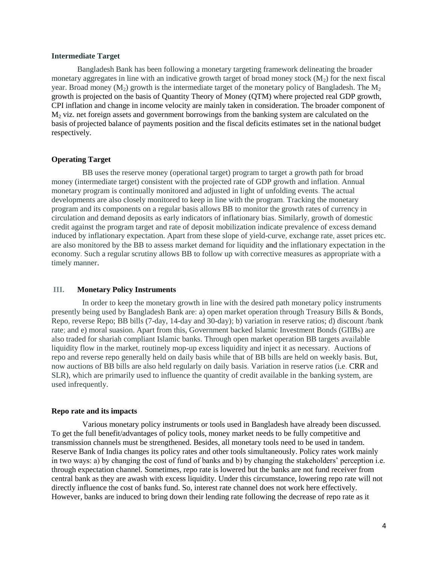#### **Intermediate Target**

Bangladesh Bank has been following a monetary targeting framework delineating the broader monetary aggregates in line with an indicative growth target of broad money stock  $(M_2)$  for the next fiscal year. Broad money  $(M_2)$  growth is the intermediate target of the monetary policy of Bangladesh. The  $M_2$ growth is projected on the basis of Quantity Theory of Money (QTM) where projected real GDP growth, CPI inflation and change in income velocity are mainly taken in consideration. The broader component of  $M<sub>2</sub>$  viz. net foreign assets and government borrowings from the banking system are calculated on the basis of projected balance of payments position and the fiscal deficits estimates set in the national budget respectively.

# **Operating Target**

BB uses the reserve money (operational target) program to target a growth path for broad money (intermediate target) consistent with the projected rate of GDP growth and inflation. Annual monetary program is continually monitored and adjusted in light of unfolding events. The actual developments are also closely monitored to keep in line with the program. Tracking the monetary program and its components on a regular basis allows BB to monitor the growth rates of currency in circulation and demand deposits as early indicators of inflationary bias. Similarly, growth of domestic credit against the program target and rate of deposit mobilization indicate prevalence of excess demand induced by inflationary expectation. Apart from these slope of yield-curve, exchange rate, asset prices etc. are also monitored by the BB to assess market demand for liquidity and the inflationary expectation in the economy. Such a regular scrutiny allows BB to follow up with corrective measures as appropriate with a timely manner.

#### **III. Monetary Policy Instruments**

In order to keep the monetary growth in line with the desired path monetary policy instruments presently being used by Bangladesh Bank are: a) open market operation through Treasury Bills & Bonds, Repo, reverse Repo; BB bills (7-day, 14-day and 30-day); b) variation in reserve ratios; d) discount /bank rate; and e) moral suasion. Apart from this, Government backed Islamic Investment Bonds (GIIBs) are also traded for shariah compliant Islamic banks. Through open market operation BB targets available liquidity flow in the market, routinely mop-up excess liquidity and inject it as necessary. Auctions of repo and reverse repo generally held on daily basis while that of BB bills are held on weekly basis. But, now auctions of BB bills are also held regularly on daily basis. Variation in reserve ratios (i.e. CRR and SLR), which are primarily used to influence the quantity of credit available in the banking system, are used infrequently.

#### **Repo rate and its impacts**

Various monetary policy instruments or tools used in Bangladesh have already been discussed. To get the full benefit/advantages of policy tools, money market needs to be fully competitive and transmission channels must be strengthened. Besides, all monetary tools need to be used in tandem. Reserve Bank of India changes its policy rates and other tools simultaneously. Policy rates work mainly in two ways: a) by changing the cost of fund of banks and b) by changing the stakeholders' perception i.e. through expectation channel. Sometimes, repo rate is lowered but the banks are not fund receiver from central bank as they are awash with excess liquidity. Under this circumstance, lowering repo rate will not directly influence the cost of banks fund. So, interest rate channel does not work here effectively. However, banks are induced to bring down their lending rate following the decrease of repo rate as it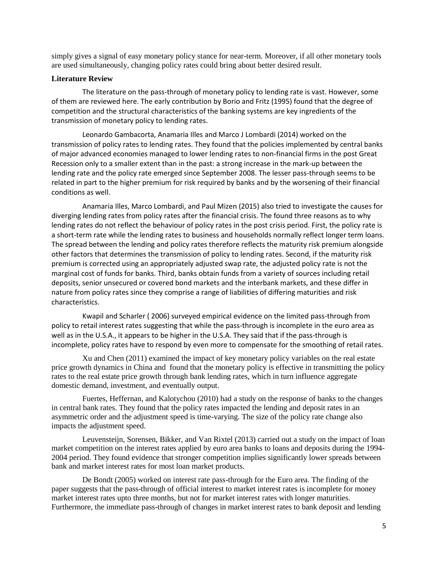simply gives a signal of easy monetary policy stance for near-term. Moreover, if all other monetary tools are used simultaneously, changing policy rates could bring about better desired result.

# **Literature Review**

 The literature on the pass-through of monetary policy to lending rate is vast. However, some of them are reviewed here. The early contribution by Borio and Fritz (1995) found that the degree of competition and the structural characteristics of the banking systems are key ingredients of the transmission of monetary policy to lending rates.

Leonardo Gambacorta, Anamaria Illes and Marco J Lombardi (2014) worked on the transmission of policy rates to lending rates. They found that the policies implemented by central banks of major advanced economies managed to lower lending rates to non-financial firms in the post Great Recession only to a smaller extent than in the past: a strong increase in the mark-up between the lending rate and the policy rate emerged since September 2008. The lesser pass-through seems to be related in part to the higher premium for risk required by banks and by the worsening of their financial conditions as well.

Anamaria Illes, Marco Lombardi, and Paul Mizen (2015) also tried to investigate the causes for diverging lending rates from policy rates after the financial crisis. The found three reasons as to why lending rates do not reflect the behaviour of policy rates in the post crisis period. First, the policy rate is a short-term rate while the lending rates to business and households normally reflect longer term loans. The spread between the lending and policy rates therefore reflects the maturity risk premium alongside other factors that determines the transmission of policy to lending rates. Second, if the maturity risk premium is corrected using an appropriately adjusted swap rate, the adjusted policy rate is not the marginal cost of funds for banks. Third, banks obtain funds from a variety of sources including retail deposits, senior unsecured or covered bond markets and the interbank markets, and these differ in nature from policy rates since they comprise a range of liabilities of differing maturities and risk characteristics.

Kwapil and Scharler ( 2006) surveyed empirical evidence on the limited pass-through from policy to retail interest rates suggesting that while the pass-through is incomplete in the euro area as well as in the U.S.A., it appears to be higher in the U.S.A. They said that if the pass-through is incomplete, policy rates have to respond by even more to compensate for the smoothing of retail rates.

Xu and Chen (2011) examined the impact of key monetary policy variables on the real estate price growth dynamics in China and found that the monetary policy is effective in transmitting the policy rates to the real estate price growth through bank lending rates, which in turn influence aggregate domestic demand, investment, and eventually output.

Fuertes, Heffernan, and Kalotychou (2010) had a study on the response of banks to the changes in central bank rates. They found that the policy rates impacted the lending and deposit rates in an asymmetric order and the adjustment speed is time-varying. The size of the policy rate change also impacts the adjustment speed.

Leuvensteijn, Sorensen, Bikker, and Van Rixtel (2013) carried out a study on the impact of loan market competition on the interest rates applied by euro area banks to loans and deposits during the 1994- 2004 period. They found evidence that stronger competition implies significantly lower spreads between bank and market interest rates for most loan market products.

De Bondt (2005) worked on interest rate pass-through for the Euro area. The finding of the paper suggests that the pass-through of official interest to market interest rates is incomplete for money market interest rates upto three months, but not for market interest rates with longer maturities. Furthermore, the immediate pass-through of changes in market interest rates to bank deposit and lending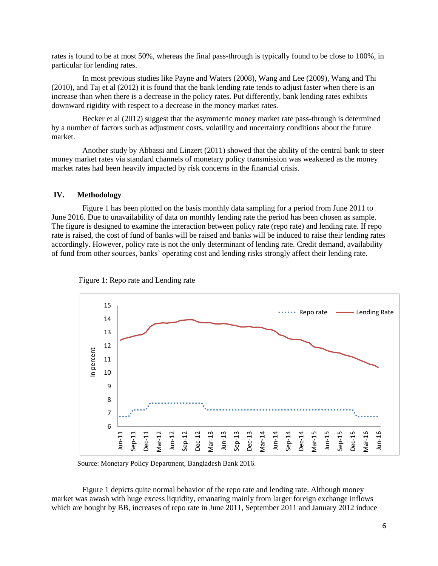rates is found to be at most 50%, whereas the final pass-through is typically found to be close to 100%, in particular for lending rates.

In most previous studies like Payne and Waters (2008), Wang and Lee (2009), Wang and Thi (2010), and Taj et al (2012) it is found that the bank lending rate tends to adjust faster when there is an increase than when there is a decrease in the policy rates. Put differently, bank lending rates exhibits downward rigidity with respect to a decrease in the money market rates.

Becker et al (2012) suggest that the asymmetric money market rate pass-through is determined by a number of factors such as adjustment costs, volatility and uncertainty conditions about the future market.

Another study by Abbassi and Linzert (2011) showed that the ability of the central bank to steer money market rates via standard channels of monetary policy transmission was weakened as the money market rates had been heavily impacted by risk concerns in the financial crisis.

# **IV. Methodology**

Figure 1 has been plotted on the basis monthly data sampling for a period from June 2011 to June 2016. Due to unavailability of data on monthly lending rate the period has been chosen as sample. The figure is designed to examine the interaction between policy rate (repo rate) and lending rate. If repo rate is raised, the cost of fund of banks will be raised and banks will be induced to raise their lending rates accordingly. However, policy rate is not the only determinant of lending rate. Credit demand, availability of fund from other sources, banks' operating cost and lending risks strongly affect their lending rate.





Source: Monetary Policy Department, Bangladesh Bank 2016.

Figure 1 depicts quite normal behavior of the repo rate and lending rate. Although money market was awash with huge excess liquidity, emanating mainly from larger foreign exchange inflows which are bought by BB, increases of repo rate in June 2011, September 2011 and January 2012 induce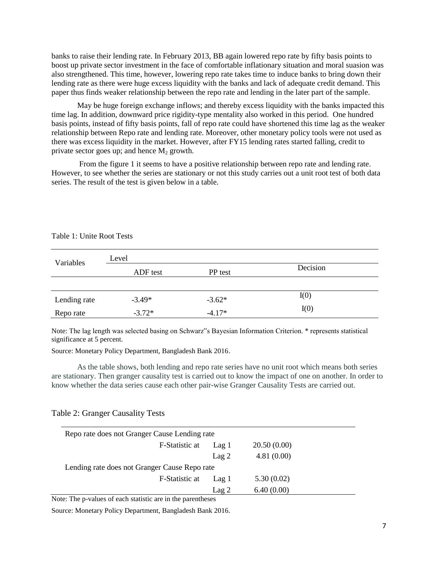banks to raise their lending rate. In February 2013, BB again lowered repo rate by fifty basis points to boost up private sector investment in the face of comfortable inflationary situation and moral suasion was also strengthened. This time, however, lowering repo rate takes time to induce banks to bring down their lending rate as there were huge excess liquidity with the banks and lack of adequate credit demand. This paper thus finds weaker relationship between the repo rate and lending in the later part of the sample.

May be huge foreign exchange inflows; and thereby excess liquidity with the banks impacted this time lag. In addition, downward price rigidity-type mentality also worked in this period. One hundred basis points, instead of fifty basis points, fall of repo rate could have shortened this time lag as the weaker relationship between Repo rate and lending rate. Moreover, other monetary policy tools were not used as there was excess liquidity in the market. However, after FY15 lending rates started falling, credit to private sector goes up; and hence  $M<sub>2</sub>$  growth.

From the figure 1 it seems to have a positive relationship between repo rate and lending rate. However, to see whether the series are stationary or not this study carries out a unit root test of both data series. The result of the test is given below in a table.

| Variables    | Level    |          |          |  |  |
|--------------|----------|----------|----------|--|--|
|              | ADF test | PP test  | Decision |  |  |
|              |          |          |          |  |  |
| Lending rate | $-3.49*$ | $-3.62*$ | I(0)     |  |  |
| Repo rate    | $-3.72*$ | $-4.17*$ | I(0)     |  |  |

#### Table 1: Unite Root Tests

Note: The lag length was selected basing on Schwarz"s Bayesian Information Criterion. \* represents statistical significance at 5 percent.

Source: Monetary Policy Department, Bangladesh Bank 2016.

As the table shows, both lending and repo rate series have no unit root which means both series are stationary. Then granger causality test is carried out to know the impact of one on another. In order to know whether the data series cause each other pair-wise Granger Causality Tests are carried out.

# Table 2: Granger Causality Tests

| Reporate does not Granger Cause Lending rate  |                  |             |  |  |  |
|-----------------------------------------------|------------------|-------------|--|--|--|
| F-Statistic at                                | Lag 1            | 20.50(0.00) |  |  |  |
|                                               | Lag <sub>2</sub> | 4.81(0.00)  |  |  |  |
| Lending rate does not Granger Cause Repo rate |                  |             |  |  |  |
| F-Statistic at                                | Lag 1            | 5.30(0.02)  |  |  |  |
|                                               | Lag 2            | 6.40(0.00)  |  |  |  |

Note: The p-values of each statistic are in the parentheses

Source: Monetary Policy Department, Bangladesh Bank 2016.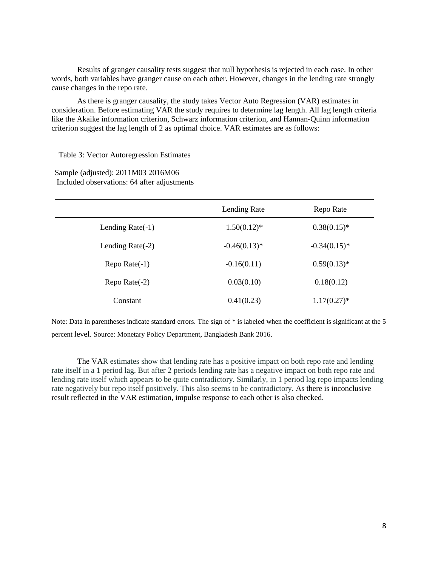Results of granger causality tests suggest that null hypothesis is rejected in each case. In other words, both variables have granger cause on each other. However, changes in the lending rate strongly cause changes in the repo rate.

As there is granger causality, the study takes Vector Auto Regression (VAR) estimates in consideration. Before estimating VAR the study requires to determine lag length. All lag length criteria like the Akaike information criterion, Schwarz information criterion, and Hannan-Quinn information criterion suggest the lag length of 2 as optimal choice. VAR estimates are as follows:

Table 3: Vector Autoregression Estimates

Sample (adjusted): 2011M03 2016M06 Included observations: 64 after adjustments

|                        | Lending Rate    | Repo Rate       |
|------------------------|-----------------|-----------------|
| Lending Rate $(-1)$    | $1.50(0.12)^*$  | $0.38(0.15)^*$  |
| Lending Rate $(-2)$    | $-0.46(0.13)$ * | $-0.34(0.15)^*$ |
| $\text{Repo Rate}(-1)$ | $-0.16(0.11)$   | $0.59(0.13)*$   |
| Repo Rate $(-2)$       | 0.03(0.10)      | 0.18(0.12)      |
| Constant               | 0.41(0.23)      | $1.17(0.27)^*$  |

Note: Data in parentheses indicate standard errors. The sign of \* is labeled when the coefficient is significant at the 5 percent level. Source: Monetary Policy Department, Bangladesh Bank 2016.

The VAR estimates show that lending rate has a positive impact on both repo rate and lending rate itself in a 1 period lag. But after 2 periods lending rate has a negative impact on both repo rate and lending rate itself which appears to be quite contradictory. Similarly, in 1 period lag repo impacts lending rate negatively but repo itself positively. This also seems to be contradictory. As there is inconclusive result reflected in the VAR estimation, impulse response to each other is also checked.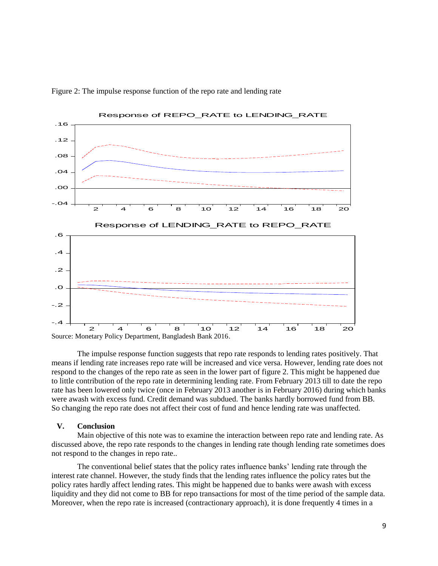

Figure 2: The impulse response function of the repo rate and lending rate

The impulse response function suggests that repo rate responds to lending rates positively. That means if lending rate increases repo rate will be increased and vice versa. However, lending rate does not respond to the changes of the repo rate as seen in the lower part of figure 2. This might be happened due to little contribution of the repo rate in determining lending rate. From February 2013 till to date the repo rate has been lowered only twice (once in February 2013 another is in February 2016) during which banks were awash with excess fund. Credit demand was subdued. The banks hardly borrowed fund from BB. So changing the repo rate does not affect their cost of fund and hence lending rate was unaffected.

# **V. Conclusion**

Main objective of this note was to examine the interaction between repo rate and lending rate. As discussed above, the repo rate responds to the changes in lending rate though lending rate sometimes does not respond to the changes in repo rate..

The conventional belief states that the policy rates influence banks' lending rate through the interest rate channel. However, the study finds that the lending rates influence the policy rates but the policy rates hardly affect lending rates. This might be happened due to banks were awash with excess liquidity and they did not come to BB for repo transactions for most of the time period of the sample data. Moreover, when the repo rate is increased (contractionary approach), it is done frequently 4 times in a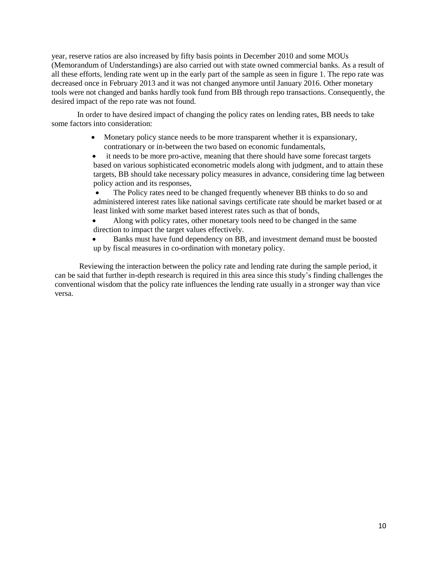year, reserve ratios are also increased by fifty basis points in December 2010 and some MOUs (Memorandum of Understandings) are also carried out with state owned commercial banks. As a result of all these efforts, lending rate went up in the early part of the sample as seen in figure 1. The repo rate was decreased once in February 2013 and it was not changed anymore until January 2016. Other monetary tools were not changed and banks hardly took fund from BB through repo transactions. Consequently, the desired impact of the repo rate was not found.

In order to have desired impact of changing the policy rates on lending rates, BB needs to take some factors into consideration:

- Monetary policy stance needs to be more transparent whether it is expansionary, contrationary or in-between the two based on economic fundamentals,
- it needs to be more pro-active, meaning that there should have some forecast targets based on various sophisticated econometric models along with judgment, and to attain these targets, BB should take necessary policy measures in advance, considering time lag between policy action and its responses,

 The Policy rates need to be changed frequently whenever BB thinks to do so and administered interest rates like national savings certificate rate should be market based or at least linked with some market based interest rates such as that of bonds,

 Along with policy rates, other monetary tools need to be changed in the same direction to impact the target values effectively.

 Banks must have fund dependency on BB, and investment demand must be boosted up by fiscal measures in co-ordination with monetary policy.

Reviewing the interaction between the policy rate and lending rate during the sample period, it can be said that further in-depth research is required in this area since this study's finding challenges the conventional wisdom that the policy rate influences the lending rate usually in a stronger way than vice versa.